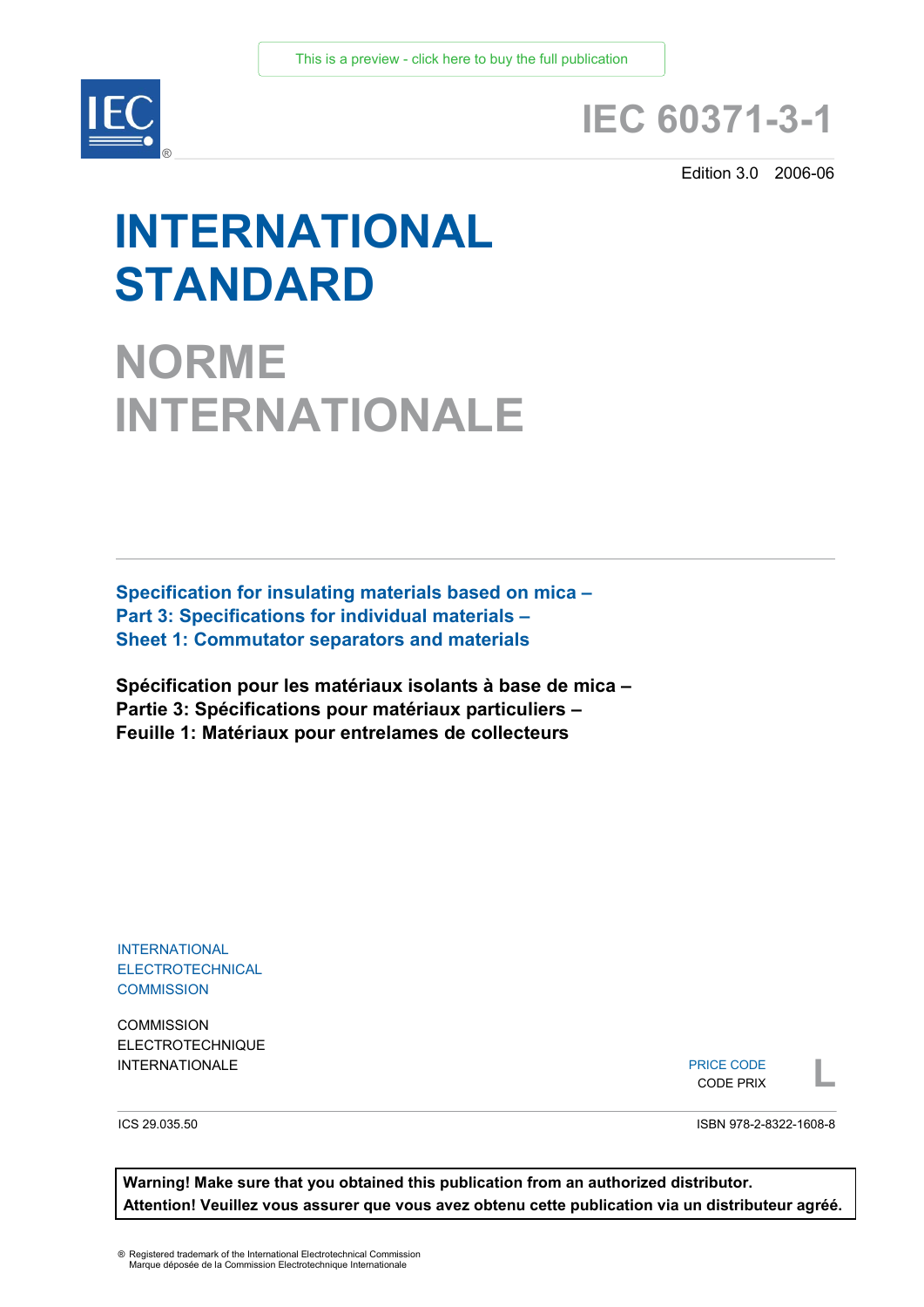

# **IEC 60371-3-1**

Edition 3.0 2006-06

# **INTERNATIONAL STANDARD**

**NORME INTERNATIONALE**

**Specification for insulating materials based on mica – Part 3: Specifications for individual materials – Sheet 1: Commutator separators and materials**

**Spécification pour les matériaux isolants à base de mica – Partie 3: Spécifications pour matériaux particuliers – Feuille 1: Matériaux pour entrelames de collecteurs** 

INTERNATIONAL **ELECTROTECHNICAL COMMISSION** 

**COMMISSION** ELECTROTECHNIQUE

INTERNATIONALE PRICE CODE PRIX PRICE CODE CODE PRIX

ICS 29.035.50

ISBN 978-2-8322-1608-8

**Warning! Make sure that you obtained this publication from an authorized distributor. Attention! Veuillez vous assurer que vous avez obtenu cette publication via un distributeur agréé.**

® Registered trademark of the International Electrotechnical Commission Marque déposée de la Commission Electrotechnique Internationale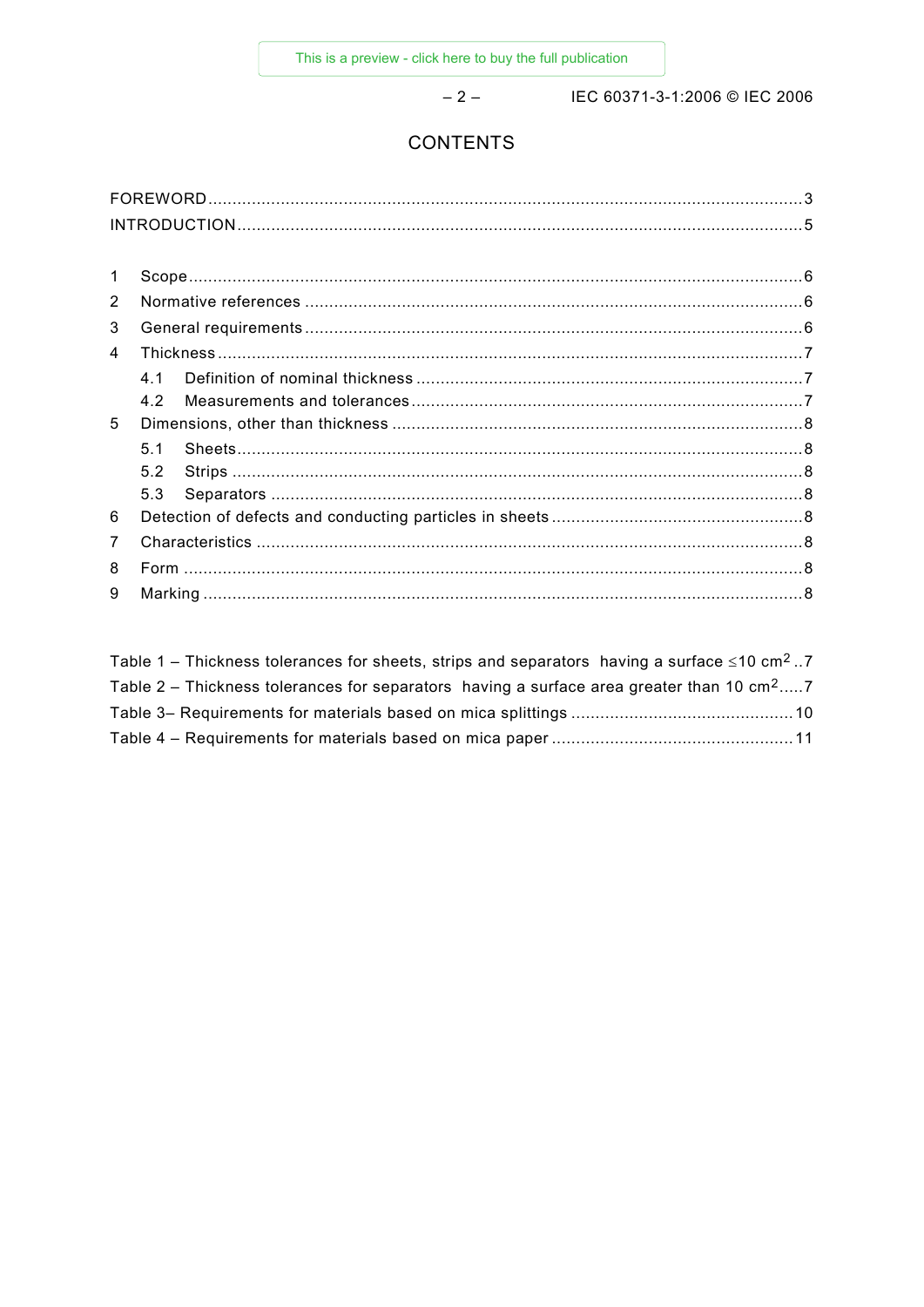$-2-$ 

IEC 60371-3-1:2006 © IEC 2006

# **CONTENTS**

| 1              |     |  |  |  |  |
|----------------|-----|--|--|--|--|
| $\overline{2}$ |     |  |  |  |  |
| 3              |     |  |  |  |  |
| 4              |     |  |  |  |  |
|                | 41  |  |  |  |  |
|                | 4.2 |  |  |  |  |
| 5              |     |  |  |  |  |
|                | 51  |  |  |  |  |
|                | 5.2 |  |  |  |  |
|                | 5.3 |  |  |  |  |
| 6              |     |  |  |  |  |
| $\overline{7}$ |     |  |  |  |  |
| 8              |     |  |  |  |  |
| 9              |     |  |  |  |  |
|                |     |  |  |  |  |

| Table 1 – Thickness tolerances for sheets, strips and separators having a surface $\leq$ 10 cm <sup>2</sup> 7 |  |
|---------------------------------------------------------------------------------------------------------------|--|
| Table 2 – Thickness tolerances for separators having a surface area greater than 10 cm <sup>2</sup> 7         |  |
|                                                                                                               |  |
|                                                                                                               |  |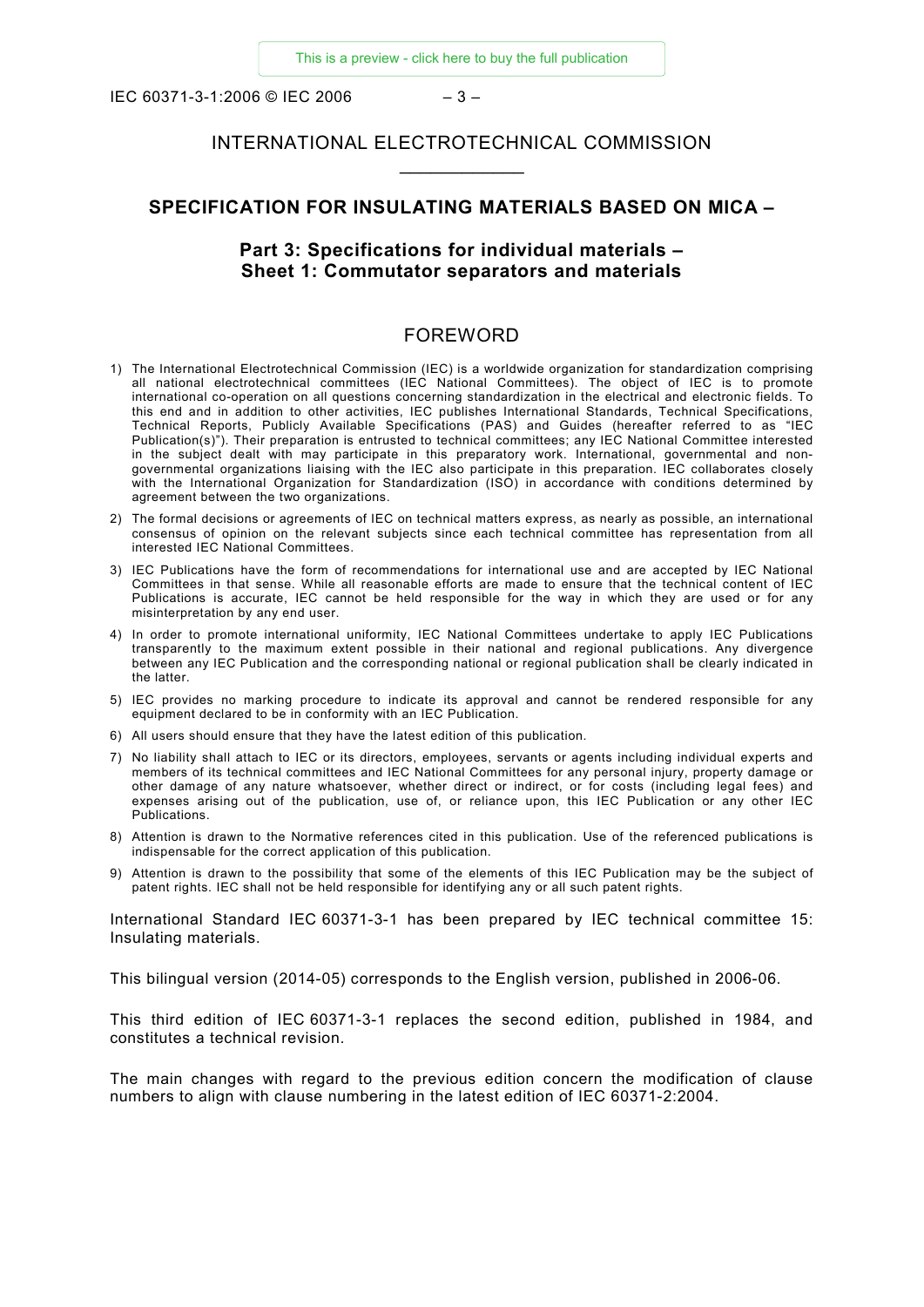IEC 60371-3-1:2006 © IEC 2006  $-3-$ 

# INTERNATIONAL ELECTROTECHNICAL COMMISSION \_\_\_\_\_\_\_\_\_\_\_\_

# **SPECIFICATION FOR INSULATING MATERIALS BASED ON MICA –**

# **Part 3: Specifications for individual materials – Sheet 1: Commutator separators and materials**

# FOREWORD

- <span id="page-2-0"></span>1) The International Electrotechnical Commission (IEC) is a worldwide organization for standardization comprising all national electrotechnical committees (IEC National Committees). The object of IEC is to promote international co-operation on all questions concerning standardization in the electrical and electronic fields. To this end and in addition to other activities, IEC publishes International Standards, Technical Specifications, Technical Reports, Publicly Available Specifications (PAS) and Guides (hereafter referred to as "IEC Publication(s)"). Their preparation is entrusted to technical committees; any IEC National Committee interested in the subject dealt with may participate in this preparatory work. International, governmental and nongovernmental organizations liaising with the IEC also participate in this preparation. IEC collaborates closely with the International Organization for Standardization (ISO) in accordance with conditions determined by agreement between the two organizations.
- 2) The formal decisions or agreements of IEC on technical matters express, as nearly as possible, an international consensus of opinion on the relevant subjects since each technical committee has representation from all interested IEC National Committees.
- 3) IEC Publications have the form of recommendations for international use and are accepted by IEC National Committees in that sense. While all reasonable efforts are made to ensure that the technical content of IEC Publications is accurate, IEC cannot be held responsible for the way in which they are used or for any misinterpretation by any end user.
- 4) In order to promote international uniformity, IEC National Committees undertake to apply IEC Publications transparently to the maximum extent possible in their national and regional publications. Any divergence between any IEC Publication and the corresponding national or regional publication shall be clearly indicated in the latter.
- 5) IEC provides no marking procedure to indicate its approval and cannot be rendered responsible for any equipment declared to be in conformity with an IEC Publication.
- 6) All users should ensure that they have the latest edition of this publication.
- 7) No liability shall attach to IEC or its directors, employees, servants or agents including individual experts and members of its technical committees and IEC National Committees for any personal injury, property damage or other damage of any nature whatsoever, whether direct or indirect, or for costs (including legal fees) and expenses arising out of the publication, use of, or reliance upon, this IEC Publication or any other IEC Publications.
- 8) Attention is drawn to the Normative references cited in this publication. Use of the referenced publications is indispensable for the correct application of this publication.
- 9) Attention is drawn to the possibility that some of the elements of this IEC Publication may be the subject of patent rights. IEC shall not be held responsible for identifying any or all such patent rights.

International Standard IEC 60371-3-1 has been prepared by IEC technical committee 15: Insulating materials.

This bilingual version (2014-05) corresponds to the English version, published in 2006-06.

This third edition of IEC 60371-3-1 replaces the second edition, published in 1984, and constitutes a technical revision.

The main changes with regard to the previous edition concern the modification of clause numbers to align with clause numbering in the latest edition of IEC 60371-2:2004.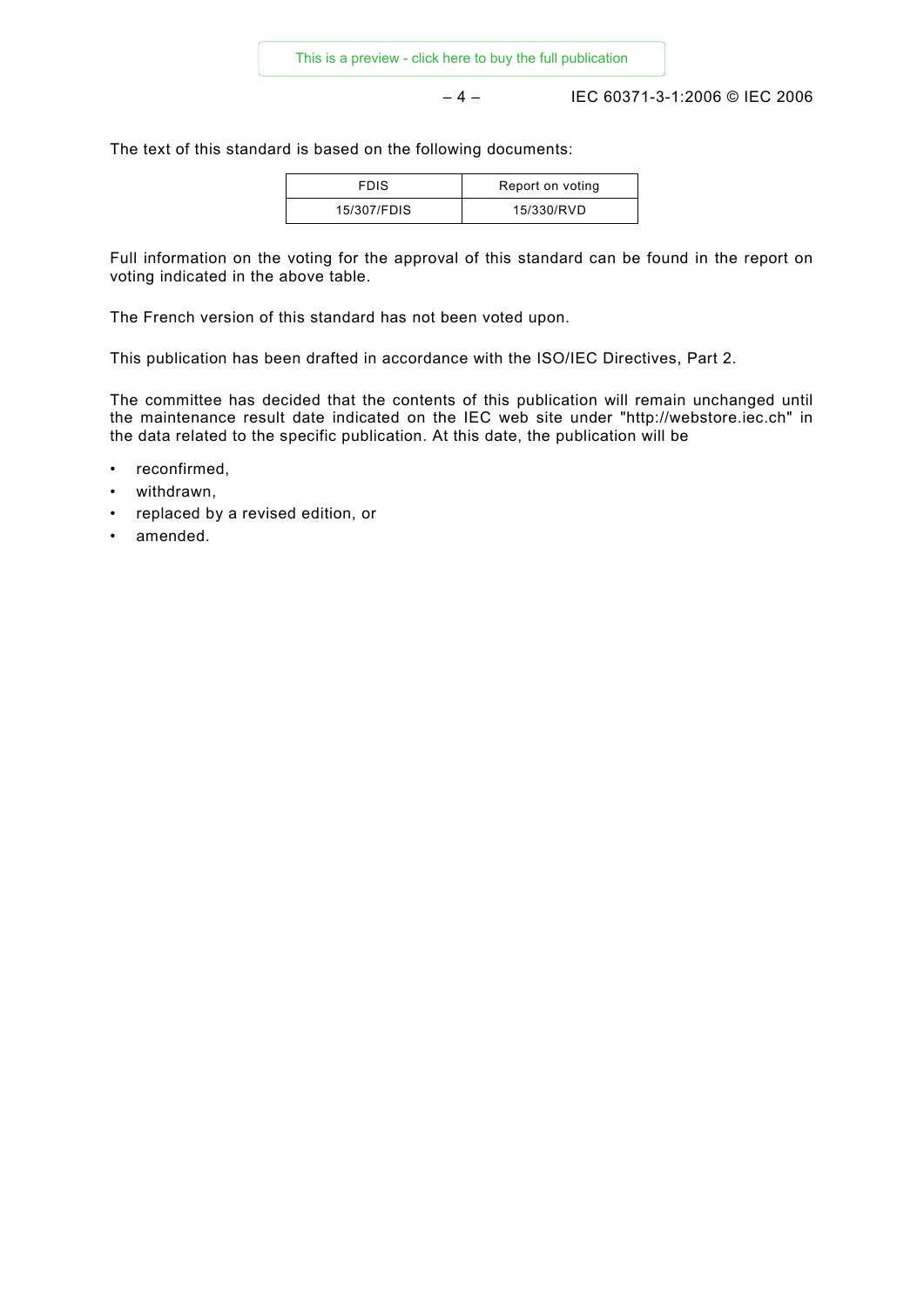– 4 – IEC 60371-3-1:2006 © IEC 2006

The text of this standard is based on the following documents:

| <b>FDIS</b> | Report on voting |
|-------------|------------------|
| 15/307/FDIS | 15/330/RVD       |

Full information on the voting for the approval of this standard can be found in the report on voting indicated in the above table.

The French version of this standard has not been voted upon.

This publication has been drafted in accordance with the ISO/IEC Directives, Part 2.

The committee has decided that the contents of this publication will remain unchanged until the maintenance result date indicated on the IEC web site under "http://webstore.iec.ch" in the data related to the specific publication. At this date, the publication will be

- reconfirmed,
- withdrawn,
- replaced by a revised edition, or
- amended.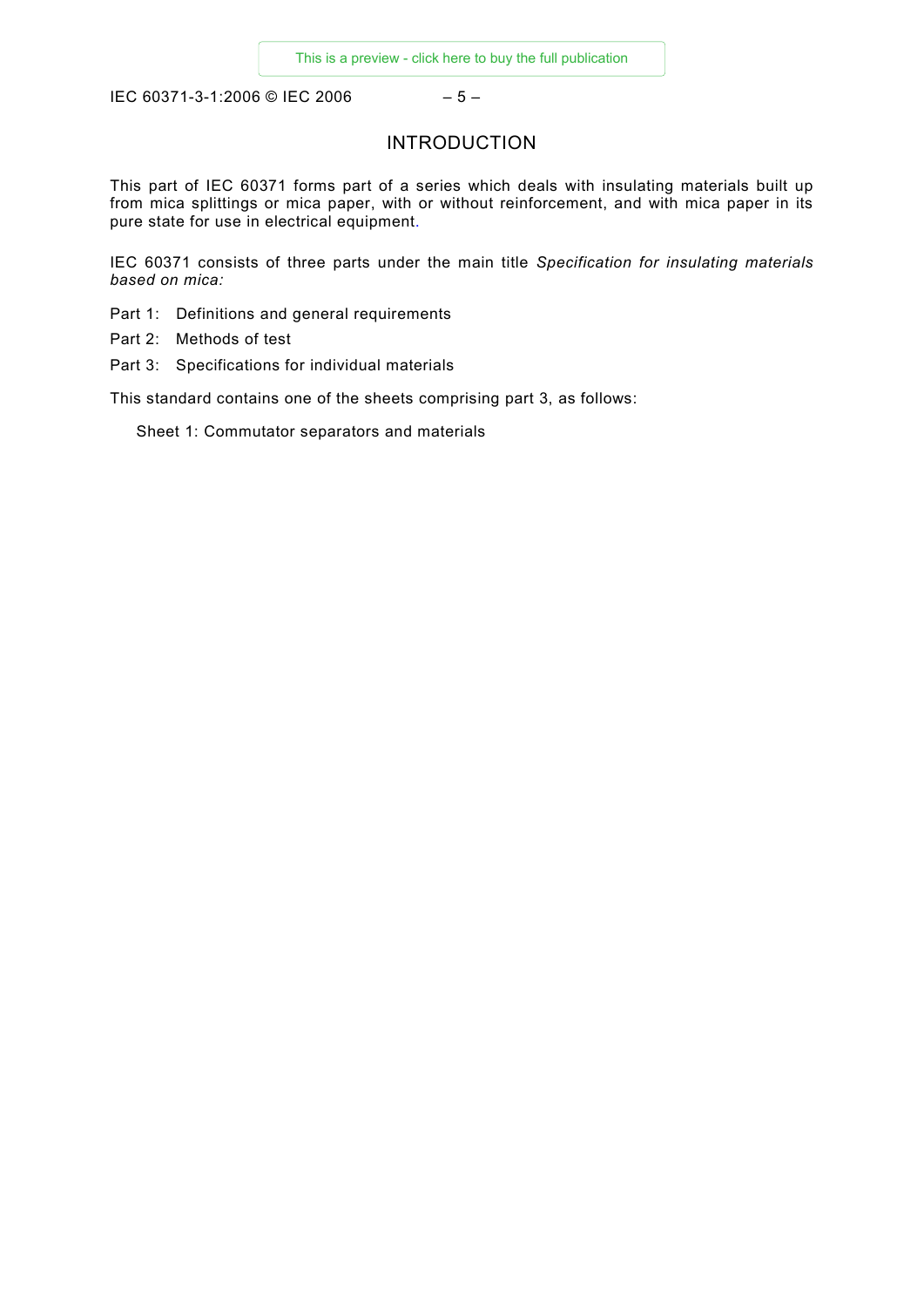<span id="page-4-0"></span>IEC 60371-3-1:2006 © IEC 2006 – 5 –

# INTRODUCTION

This part of IEC 60371 forms part of a series which deals with insulating materials built up from mica splittings or mica paper, with or without reinforcement, and with mica paper in its pure state for use in electrical equipment.

IEC 60371 consists of three parts under the main title *Specification for insulating materials based on mica:*

Part 1: Definitions and general requirements

Part 2: Methods of test

Part 3: Specifications for individual materials

This standard contains one of the sheets comprising part 3, as follows:

Sheet 1: Commutator separators and materials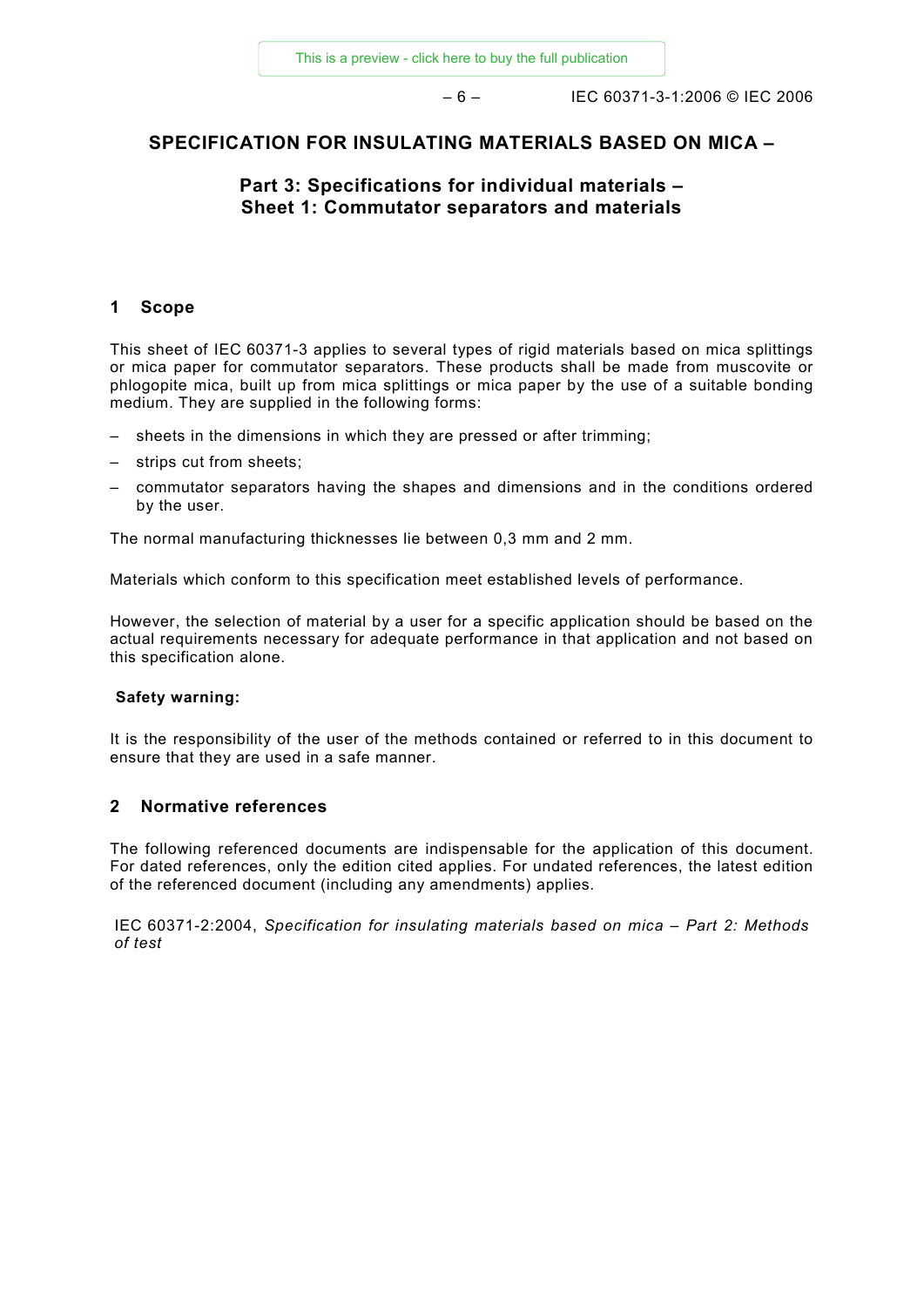– 6 – IEC 60371-3-1:2006 © IEC 2006

# **SPECIFICATION FOR INSULATING MATERIALS BASED ON MICA –**

# **Part 3: Specifications for individual materials – Sheet 1: Commutator separators and materials**

### <span id="page-5-0"></span>**1 Scope**

This sheet of IEC 60371-3 applies to several types of rigid materials based on mica splittings or mica paper for commutator separators. These products shall be made from muscovite or phlogopite mica, built up from mica splittings or mica paper by the use of a suitable bonding medium. They are supplied in the following forms:

- sheets in the dimensions in which they are pressed or after trimming;
- strips cut from sheets;
- commutator separators having the shapes and dimensions and in the conditions ordered by the user.

The normal manufacturing thicknesses lie between 0,3 mm and 2 mm.

Materials which conform to this specification meet established levels of performance.

However, the selection of material by a user for a specific application should be based on the actual requirements necessary for adequate performance in that application and not based on this specification alone.

### **Safety warning:**

It is the responsibility of the user of the methods contained or referred to in this document to ensure that they are used in a safe manner.

### <span id="page-5-1"></span>**2 Normative references**

The following referenced documents are indispensable for the application of this document. For dated references, only the edition cited applies. For undated references, the latest edition of the referenced document (including any amendments) applies.

<span id="page-5-2"></span>IEC 60371-2:2004, *Specification for insulating materials based on mica – Part 2: Methods of test*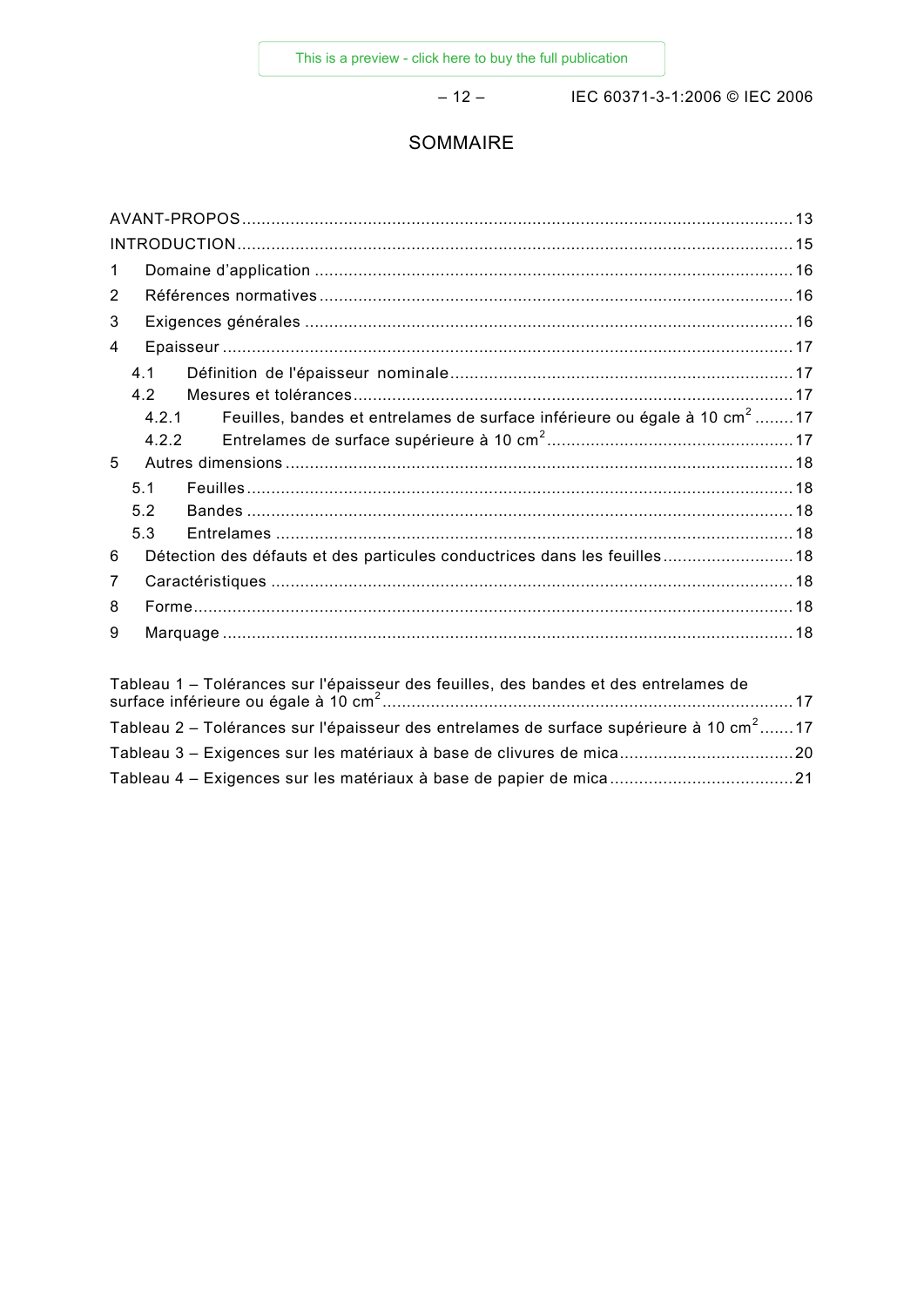$-12-$ 

IEC 60371-3-1:2006 © IEC 2006

# SOMMAIRE

| $\mathbf{1}$ |                                                                                                |  |
|--------------|------------------------------------------------------------------------------------------------|--|
| 2            |                                                                                                |  |
| 3            |                                                                                                |  |
| 4            |                                                                                                |  |
|              | 4.1                                                                                            |  |
|              | 42                                                                                             |  |
|              | Feuilles, bandes et entrelames de surface inférieure ou égale à 10 cm <sup>2</sup> 17<br>4 2 1 |  |
|              | 4.2.2                                                                                          |  |
| 5            |                                                                                                |  |
|              | 5 <sub>1</sub>                                                                                 |  |
|              | 5.2                                                                                            |  |
|              | 5.3                                                                                            |  |
| 6            | Détection des défauts et des particules conductrices dans les feuilles 18                      |  |
| 7            |                                                                                                |  |
| 8            |                                                                                                |  |
| 9            |                                                                                                |  |
|              |                                                                                                |  |

| Tableau 2 – Tolérances sur l'épaisseur des entrelames de surface supérieure à 10 cm <sup>2</sup> 17 |  |
|-----------------------------------------------------------------------------------------------------|--|
|                                                                                                     |  |
|                                                                                                     |  |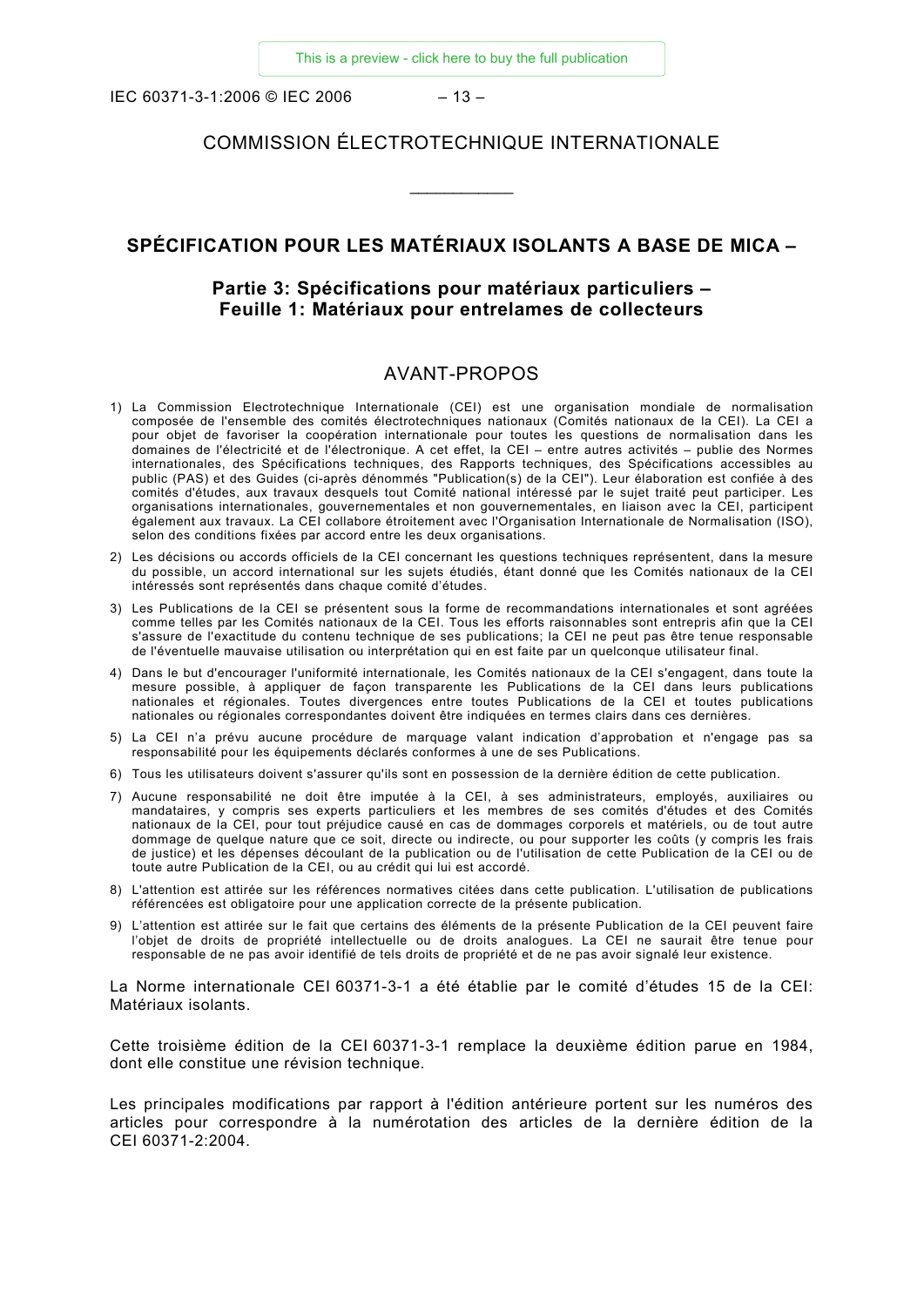IEC 60371-3-1:2006 © IEC 2006 – 13 –

# COMMISSION ÉLECTROTECHNIQUE INTERNATIONALE

\_\_\_\_\_\_\_\_\_\_\_\_

# **SPÉCIFICATION POUR LES MATÉRIAUX ISOLANTS A BASE DE MICA –**

# **Partie 3: Spécifications pour matériaux particuliers – Feuille 1: Matériaux pour entrelames de collecteurs**

# AVANT-PROPOS

- <span id="page-7-0"></span>1) La Commission Electrotechnique Internationale (CEI) est une organisation mondiale de normalisation composée de l'ensemble des comités électrotechniques nationaux (Comités nationaux de la CEI). La CEI a pour objet de favoriser la coopération internationale pour toutes les questions de normalisation dans les domaines de l'électricité et de l'électronique. A cet effet, la CEI – entre autres activités – publie des Normes internationales, des Spécifications techniques, des Rapports techniques, des Spécifications accessibles au public (PAS) et des Guides (ci-après dénommés "Publication(s) de la CEI"). Leur élaboration est confiée à des comités d'études, aux travaux desquels tout Comité national intéressé par le sujet traité peut participer. Les organisations internationales, gouvernementales et non gouvernementales, en liaison avec la CEI, participent également aux travaux. La CEI collabore étroitement avec l'Organisation Internationale de Normalisation (ISO), selon des conditions fixées par accord entre les deux organisations.
- 2) Les décisions ou accords officiels de la CEI concernant les questions techniques représentent, dans la mesure du possible, un accord international sur les sujets étudiés, étant donné que les Comités nationaux de la CEI intéressés sont représentés dans chaque comité d'études.
- 3) Les Publications de la CEI se présentent sous la forme de recommandations internationales et sont agréées comme telles par les Comités nationaux de la CEI. Tous les efforts raisonnables sont entrepris afin que la CEI s'assure de l'exactitude du contenu technique de ses publications; la CEI ne peut pas être tenue responsable de l'éventuelle mauvaise utilisation ou interprétation qui en est faite par un quelconque utilisateur final.
- 4) Dans le but d'encourager l'uniformité internationale, les Comités nationaux de la CEI s'engagent, dans toute la mesure possible, à appliquer de façon transparente les Publications de la CEI dans leurs publications nationales et régionales. Toutes divergences entre toutes Publications de la CEI et toutes publications nationales ou régionales correspondantes doivent être indiquées en termes clairs dans ces dernières.
- 5) La CEI n'a prévu aucune procédure de marquage valant indication d'approbation et n'engage pas sa responsabilité pour les équipements déclarés conformes à une de ses Publications.
- 6) Tous les utilisateurs doivent s'assurer qu'ils sont en possession de la dernière édition de cette publication.
- 7) Aucune responsabilité ne doit être imputée à la CEI, à ses administrateurs, employés, auxiliaires ou mandataires, y compris ses experts particuliers et les membres de ses comités d'études et des Comités nationaux de la CEI, pour tout préjudice causé en cas de dommages corporels et matériels, ou de tout autre dommage de quelque nature que ce soit, directe ou indirecte, ou pour supporter les coûts (y compris les frais de justice) et les dépenses découlant de la publication ou de l'utilisation de cette Publication de la CEI ou de toute autre Publication de la CEI, ou au crédit qui lui est accordé.
- 8) L'attention est attirée sur les références normatives citées dans cette publication. L'utilisation de publications référencées est obligatoire pour une application correcte de la présente publication.
- 9) L'attention est attirée sur le fait que certains des éléments de la présente Publication de la CEI peuvent faire l'objet de droits de propriété intellectuelle ou de droits analogues. La CEI ne saurait être tenue pour responsable de ne pas avoir identifié de tels droits de propriété et de ne pas avoir signalé leur existence.

La Norme internationale CEI 60371-3-1 a été établie par le comité d'études 15 de la CEI: Matériaux isolants.

Cette troisième édition de la CEI 60371-3-1 remplace la deuxième édition parue en 1984, dont elle constitue une révision technique.

Les principales modifications par rapport à l'édition antérieure portent sur les numéros des articles pour correspondre à la numérotation des articles de la dernière édition de la CEI 60371-2:2004.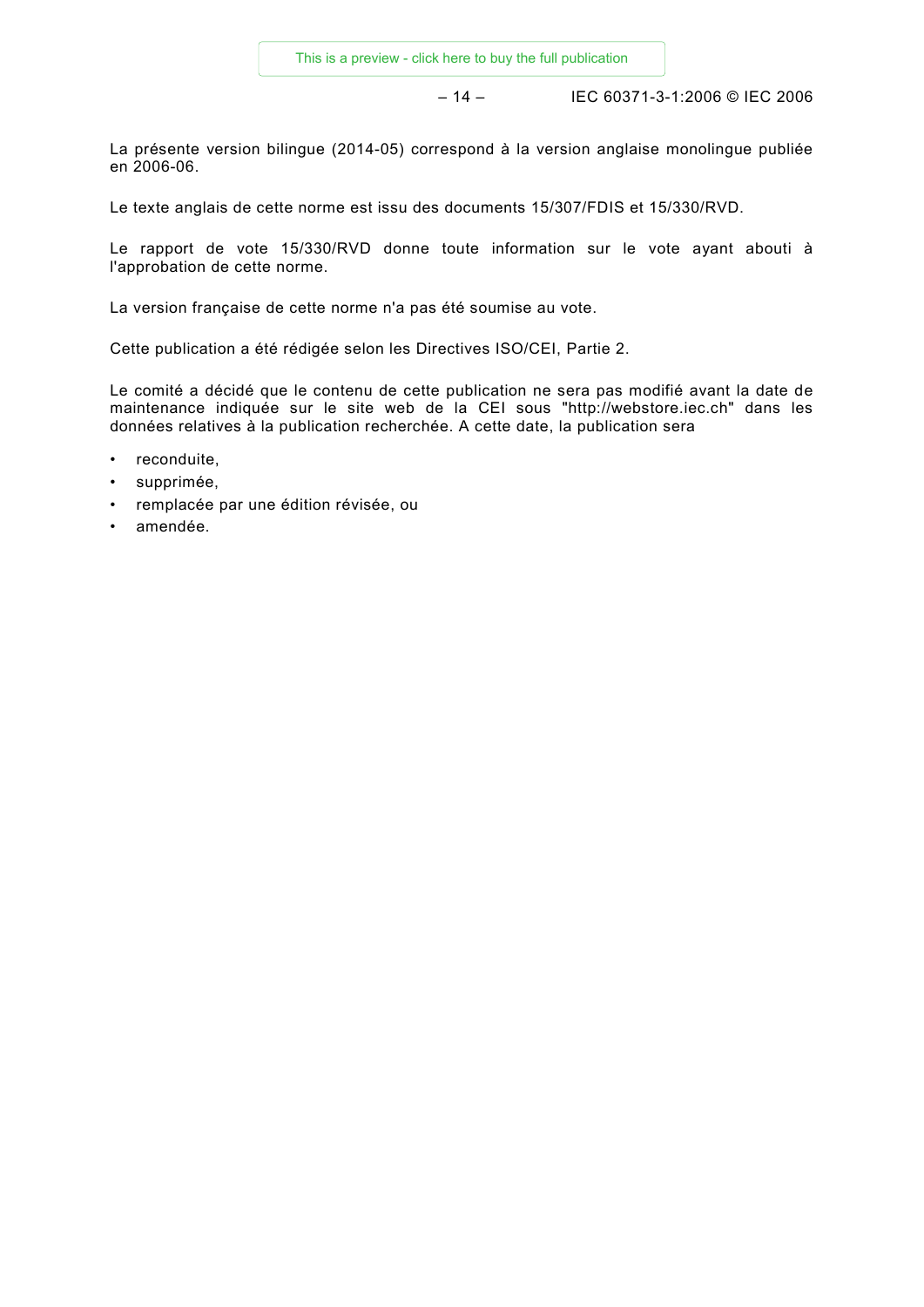– 14 – IEC 60371-3-1:2006 © IEC 2006

La présente version bilingue (2014-05) correspond à la version anglaise monolingue publiée en 2006-06.

Le texte anglais de cette norme est issu des documents 15/307/FDIS et 15/330/RVD.

Le rapport de vote 15/330/RVD donne toute information sur le vote ayant abouti à l'approbation de cette norme.

La version française de cette norme n'a pas été soumise au vote.

Cette publication a été rédigée selon les Directives ISO/CEI, Partie 2.

Le comité a décidé que le contenu de cette publication ne sera pas modifié avant la date de maintenance indiquée sur le site web de la CEI sous "http://webstore.iec.ch" dans les données relatives à la publication recherchée. A cette date, la publication sera

- reconduite,
- supprimée,
- remplacée par une édition révisée, ou
- amendée.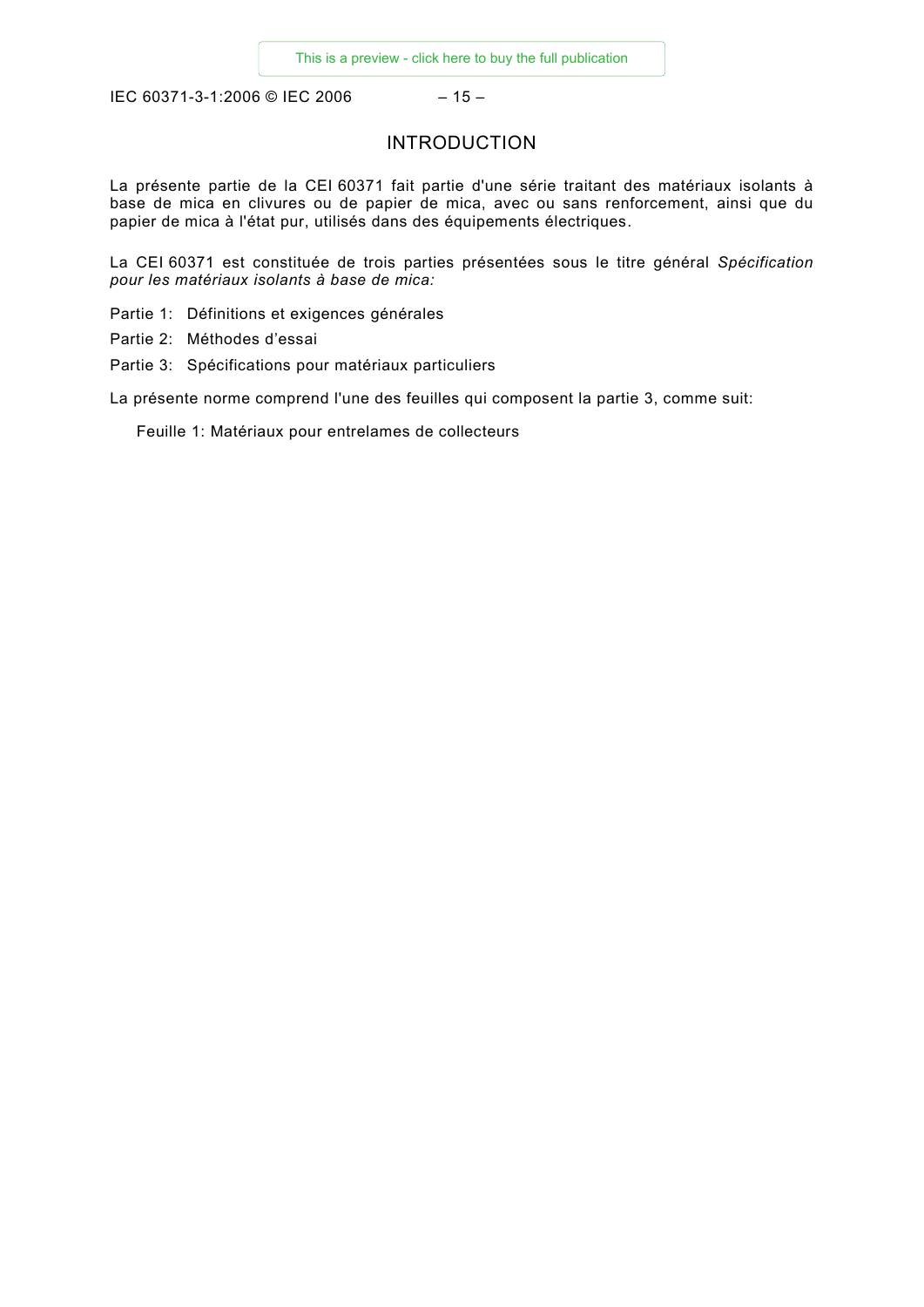<span id="page-9-0"></span>IEC 60371-3-1:2006 © IEC 2006 - 15 -

# INTRODUCTION

La présente partie de la CEI 60371 fait partie d'une série traitant des matériaux isolants à base de mica en clivures ou de papier de mica, avec ou sans renforcement, ainsi que du papier de mica à l'état pur, utilisés dans des équipements électriques.

La CEI 60371 est constituée de trois parties présentées sous le titre général *Spécification pour les matériaux isolants à base de mica:*

Partie 1: Définitions et exigences générales

Partie 2: Méthodes d'essai

Partie 3: Spécifications pour matériaux particuliers

La présente norme comprend l'une des feuilles qui composent la partie 3, comme suit:

Feuille 1: Matériaux pour entrelames de collecteurs